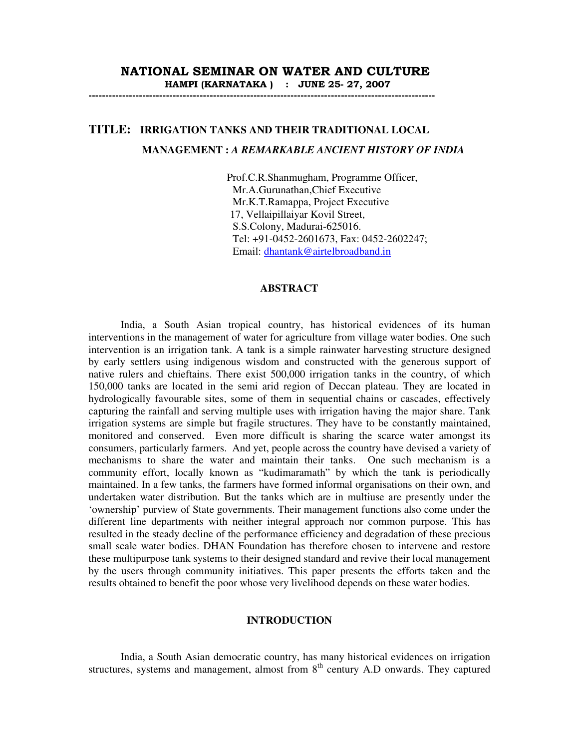## NATIONAL SEMINAR ON WATER AND CULTURE HAMPI (KARNATAKA ) : JUNE 25- 27, 2007

-------------------------------------------------------------------------------------------------------

# **TITLE: IRRIGATION TANKS AND THEIR TRADITIONAL LOCAL MANAGEMENT :** *A REMARKABLE ANCIENT HISTORY OF INDIA*

 Prof.C.R.Shanmugham, Programme Officer, Mr.A.Gurunathan,Chief Executive Mr.K.T.Ramappa, Project Executive 17, Vellaipillaiyar Kovil Street, S.S.Colony, Madurai-625016. Tel: +91-0452-2601673, Fax: 0452-2602247; Email: dhantank@airtelbroadband.in

#### **ABSTRACT**

India, a South Asian tropical country, has historical evidences of its human interventions in the management of water for agriculture from village water bodies. One such intervention is an irrigation tank. A tank is a simple rainwater harvesting structure designed by early settlers using indigenous wisdom and constructed with the generous support of native rulers and chieftains. There exist 500,000 irrigation tanks in the country, of which 150,000 tanks are located in the semi arid region of Deccan plateau. They are located in hydrologically favourable sites, some of them in sequential chains or cascades, effectively capturing the rainfall and serving multiple uses with irrigation having the major share. Tank irrigation systems are simple but fragile structures. They have to be constantly maintained, monitored and conserved. Even more difficult is sharing the scarce water amongst its consumers, particularly farmers. And yet, people across the country have devised a variety of mechanisms to share the water and maintain their tanks. One such mechanism is a community effort, locally known as "kudimaramath" by which the tank is periodically maintained. In a few tanks, the farmers have formed informal organisations on their own, and undertaken water distribution. But the tanks which are in multiuse are presently under the 'ownership' purview of State governments. Their management functions also come under the different line departments with neither integral approach nor common purpose. This has resulted in the steady decline of the performance efficiency and degradation of these precious small scale water bodies. DHAN Foundation has therefore chosen to intervene and restore these multipurpose tank systems to their designed standard and revive their local management by the users through community initiatives. This paper presents the efforts taken and the results obtained to benefit the poor whose very livelihood depends on these water bodies.

### **INTRODUCTION**

India, a South Asian democratic country, has many historical evidences on irrigation structures, systems and management, almost from  $8<sup>th</sup>$  century A.D onwards. They captured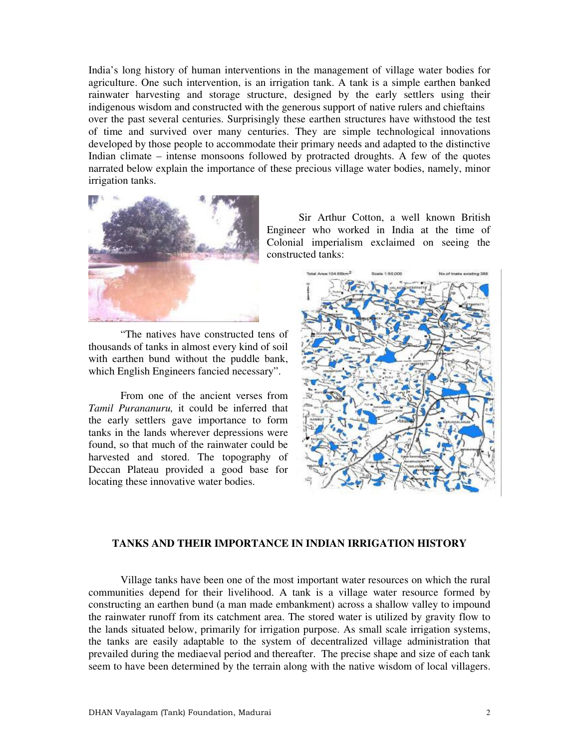India's long history of human interventions in the management of village water bodies for agriculture. One such intervention, is an irrigation tank. A tank is a simple earthen banked rainwater harvesting and storage structure, designed by the early settlers using their indigenous wisdom and constructed with the generous support of native rulers and chieftains over the past several centuries. Surprisingly these earthen structures have withstood the test of time and survived over many centuries. They are simple technological innovations developed by those people to accommodate their primary needs and adapted to the distinctive Indian climate – intense monsoons followed by protracted droughts. A few of the quotes narrated below explain the importance of these precious village water bodies, namely, minor irrigation tanks.



Sir Arthur Cotton, a well known British Engineer who worked in India at the time of Colonial imperialism exclaimed on seeing the constructed tanks:

"The natives have constructed tens of thousands of tanks in almost every kind of soil with earthen bund without the puddle bank, which English Engineers fancied necessary".

From one of the ancient verses from *Tamil Purananuru,* it could be inferred that the early settlers gave importance to form tanks in the lands wherever depressions were found, so that much of the rainwater could be harvested and stored. The topography of Deccan Plateau provided a good base for locating these innovative water bodies.



# **TANKS AND THEIR IMPORTANCE IN INDIAN IRRIGATION HISTORY**

Village tanks have been one of the most important water resources on which the rural communities depend for their livelihood. A tank is a village water resource formed by constructing an earthen bund (a man made embankment) across a shallow valley to impound the rainwater runoff from its catchment area. The stored water is utilized by gravity flow to the lands situated below, primarily for irrigation purpose. As small scale irrigation systems, the tanks are easily adaptable to the system of decentralized village administration that prevailed during the mediaeval period and thereafter. The precise shape and size of each tank seem to have been determined by the terrain along with the native wisdom of local villagers.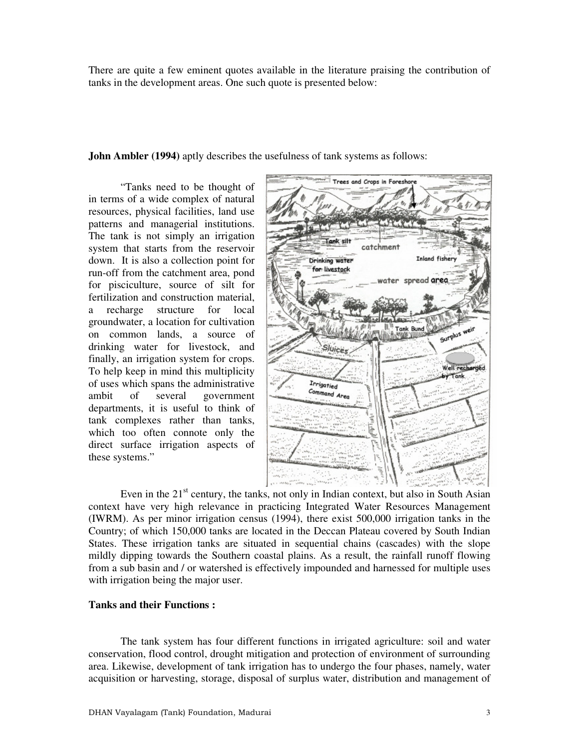There are quite a few eminent quotes available in the literature praising the contribution of tanks in the development areas. One such quote is presented below:

**John Ambler (1994)** aptly describes the usefulness of tank systems as follows:

"Tanks need to be thought of in terms of a wide complex of natural resources, physical facilities, land use patterns and managerial institutions. The tank is not simply an irrigation system that starts from the reservoir down. It is also a collection point for run-off from the catchment area, pond for pisciculture, source of silt for fertilization and construction material, a recharge structure for local groundwater, a location for cultivation on common lands, a source of drinking water for livestock, and finally, an irrigation system for crops. To help keep in mind this multiplicity of uses which spans the administrative ambit of several government departments, it is useful to think of tank complexes rather than tanks, which too often connote only the direct surface irrigation aspects of these systems."



Even in the  $21<sup>st</sup>$  century, the tanks, not only in Indian context, but also in South Asian context have very high relevance in practicing Integrated Water Resources Management (IWRM). As per minor irrigation census (1994), there exist 500,000 irrigation tanks in the Country; of which 150,000 tanks are located in the Deccan Plateau covered by South Indian States. These irrigation tanks are situated in sequential chains (cascades) with the slope mildly dipping towards the Southern coastal plains. As a result, the rainfall runoff flowing from a sub basin and / or watershed is effectively impounded and harnessed for multiple uses with irrigation being the major user.

#### **Tanks and their Functions :**

The tank system has four different functions in irrigated agriculture: soil and water conservation, flood control, drought mitigation and protection of environment of surrounding area. Likewise, development of tank irrigation has to undergo the four phases, namely, water acquisition or harvesting, storage, disposal of surplus water, distribution and management of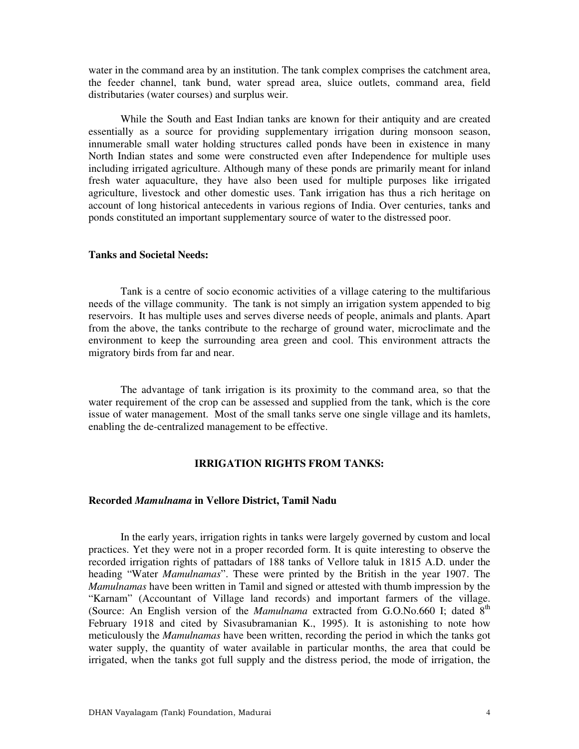water in the command area by an institution. The tank complex comprises the catchment area, the feeder channel, tank bund, water spread area, sluice outlets, command area, field distributaries (water courses) and surplus weir.

While the South and East Indian tanks are known for their antiquity and are created essentially as a source for providing supplementary irrigation during monsoon season, innumerable small water holding structures called ponds have been in existence in many North Indian states and some were constructed even after Independence for multiple uses including irrigated agriculture. Although many of these ponds are primarily meant for inland fresh water aquaculture, they have also been used for multiple purposes like irrigated agriculture, livestock and other domestic uses. Tank irrigation has thus a rich heritage on account of long historical antecedents in various regions of India. Over centuries, tanks and ponds constituted an important supplementary source of water to the distressed poor.

## **Tanks and Societal Needs:**

Tank is a centre of socio economic activities of a village catering to the multifarious needs of the village community. The tank is not simply an irrigation system appended to big reservoirs. It has multiple uses and serves diverse needs of people, animals and plants. Apart from the above, the tanks contribute to the recharge of ground water, microclimate and the environment to keep the surrounding area green and cool. This environment attracts the migratory birds from far and near.

The advantage of tank irrigation is its proximity to the command area, so that the water requirement of the crop can be assessed and supplied from the tank, which is the core issue of water management. Most of the small tanks serve one single village and its hamlets, enabling the de-centralized management to be effective.

## **IRRIGATION RIGHTS FROM TANKS:**

#### **Recorded** *Mamulnama* **in Vellore District, Tamil Nadu**

In the early years, irrigation rights in tanks were largely governed by custom and local practices. Yet they were not in a proper recorded form. It is quite interesting to observe the recorded irrigation rights of pattadars of 188 tanks of Vellore taluk in 1815 A.D. under the heading "Water *Mamulnamas*". These were printed by the British in the year 1907. The *Mamulnamas* have been written in Tamil and signed or attested with thumb impression by the "Karnam" (Accountant of Village land records) and important farmers of the village. (Source: An English version of the *Mamulnama* extracted from G.O.No.660 I; dated 8<sup>th</sup> February 1918 and cited by Sivasubramanian K., 1995). It is astonishing to note how meticulously the *Mamulnamas* have been written, recording the period in which the tanks got water supply, the quantity of water available in particular months, the area that could be irrigated, when the tanks got full supply and the distress period, the mode of irrigation, the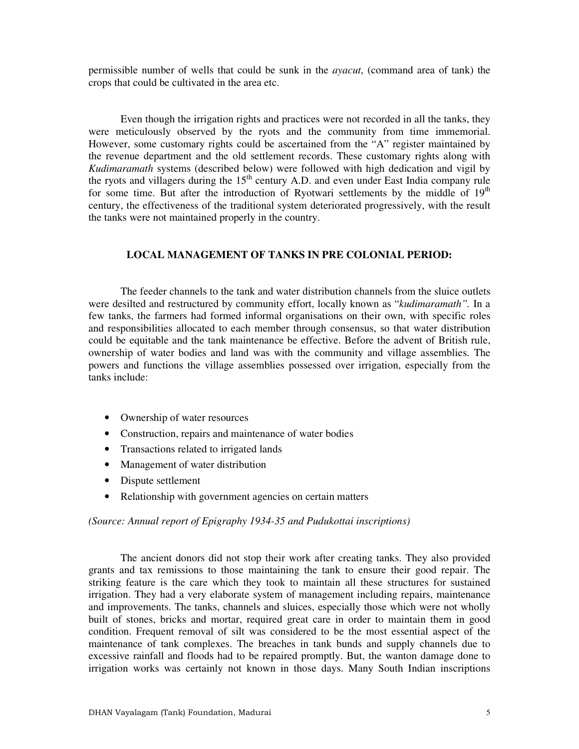permissible number of wells that could be sunk in the *ayacut*, (command area of tank) the crops that could be cultivated in the area etc.

Even though the irrigation rights and practices were not recorded in all the tanks, they were meticulously observed by the ryots and the community from time immemorial. However, some customary rights could be ascertained from the "A" register maintained by the revenue department and the old settlement records. These customary rights along with *Kudimaramath* systems (described below) were followed with high dedication and vigil by the ryots and villagers during the  $15<sup>th</sup>$  century A.D. and even under East India company rule for some time. But after the introduction of Ryotwari settlements by the middle of  $19<sup>th</sup>$ century, the effectiveness of the traditional system deteriorated progressively, with the result the tanks were not maintained properly in the country.

# **LOCAL MANAGEMENT OF TANKS IN PRE COLONIAL PERIOD:**

The feeder channels to the tank and water distribution channels from the sluice outlets were desilted and restructured by community effort, locally known as "*kudimaramath".* In a few tanks, the farmers had formed informal organisations on their own, with specific roles and responsibilities allocated to each member through consensus, so that water distribution could be equitable and the tank maintenance be effective. Before the advent of British rule, ownership of water bodies and land was with the community and village assemblies. The powers and functions the village assemblies possessed over irrigation, especially from the tanks include:

- Ownership of water resources
- Construction, repairs and maintenance of water bodies
- Transactions related to irrigated lands
- Management of water distribution
- Dispute settlement
- Relationship with government agencies on certain matters

*(Source: Annual report of Epigraphy 1934-35 and Pudukottai inscriptions)* 

The ancient donors did not stop their work after creating tanks. They also provided grants and tax remissions to those maintaining the tank to ensure their good repair. The striking feature is the care which they took to maintain all these structures for sustained irrigation. They had a very elaborate system of management including repairs, maintenance and improvements. The tanks, channels and sluices, especially those which were not wholly built of stones, bricks and mortar, required great care in order to maintain them in good condition. Frequent removal of silt was considered to be the most essential aspect of the maintenance of tank complexes. The breaches in tank bunds and supply channels due to excessive rainfall and floods had to be repaired promptly. But, the wanton damage done to irrigation works was certainly not known in those days. Many South Indian inscriptions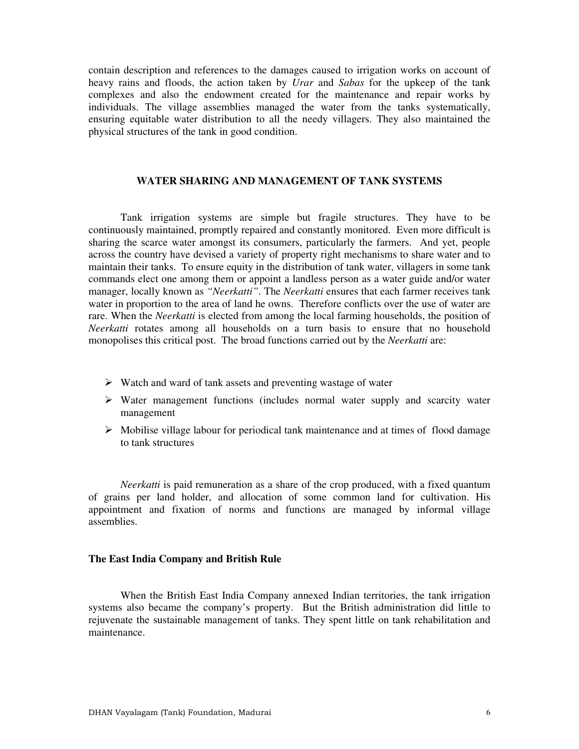contain description and references to the damages caused to irrigation works on account of heavy rains and floods, the action taken by *Urar* and *Sabas* for the upkeep of the tank complexes and also the endowment created for the maintenance and repair works by individuals. The village assemblies managed the water from the tanks systematically, ensuring equitable water distribution to all the needy villagers. They also maintained the physical structures of the tank in good condition.

#### **WATER SHARING AND MANAGEMENT OF TANK SYSTEMS**

Tank irrigation systems are simple but fragile structures. They have to be continuously maintained, promptly repaired and constantly monitored. Even more difficult is sharing the scarce water amongst its consumers, particularly the farmers. And yet, people across the country have devised a variety of property right mechanisms to share water and to maintain their tanks. To ensure equity in the distribution of tank water, villagers in some tank commands elect one among them or appoint a landless person as a water guide and/or water manager, locally known as *"Neerkatti"*. The *Neerkatti* ensures that each farmer receives tank water in proportion to the area of land he owns. Therefore conflicts over the use of water are rare. When the *Neerkatti* is elected from among the local farming households, the position of *Neerkatti* rotates among all households on a turn basis to ensure that no household monopolises this critical post. The broad functions carried out by the *Neerkatti* are:

- $\triangleright$  Watch and ward of tank assets and preventing wastage of water
- $\triangleright$  Water management functions (includes normal water supply and scarcity water management
- $\triangleright$  Mobilise village labour for periodical tank maintenance and at times of flood damage to tank structures

*Neerkatti* is paid remuneration as a share of the crop produced, with a fixed quantum of grains per land holder, and allocation of some common land for cultivation. His appointment and fixation of norms and functions are managed by informal village assemblies.

#### **The East India Company and British Rule**

When the British East India Company annexed Indian territories, the tank irrigation systems also became the company's property. But the British administration did little to rejuvenate the sustainable management of tanks. They spent little on tank rehabilitation and maintenance.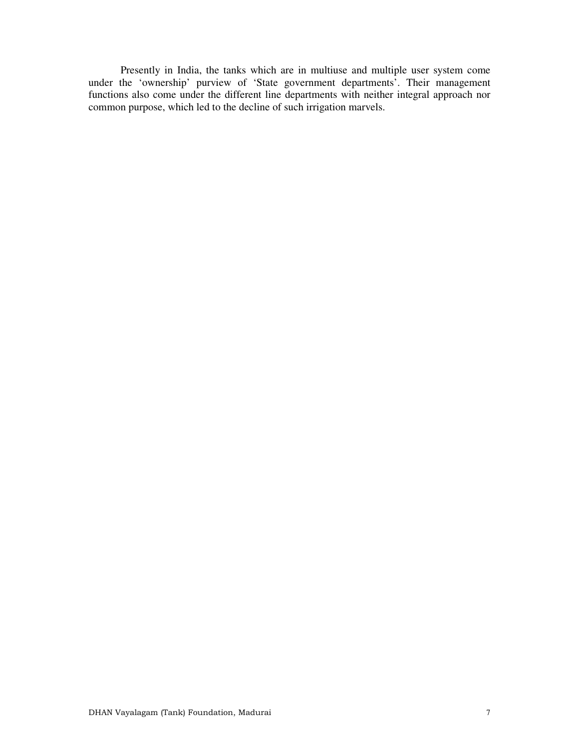Presently in India, the tanks which are in multiuse and multiple user system come under the 'ownership' purview of 'State government departments'. Their management functions also come under the different line departments with neither integral approach nor common purpose, which led to the decline of such irrigation marvels.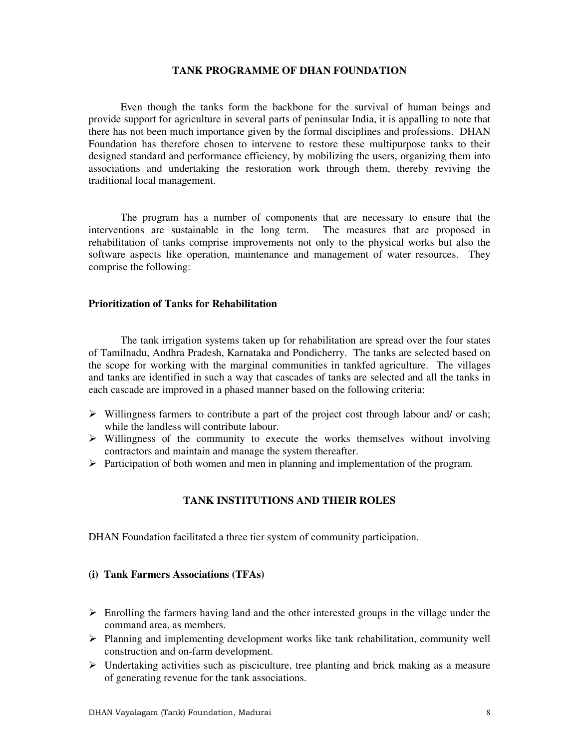#### **TANK PROGRAMME OF DHAN FOUNDATION**

Even though the tanks form the backbone for the survival of human beings and provide support for agriculture in several parts of peninsular India, it is appalling to note that there has not been much importance given by the formal disciplines and professions. DHAN Foundation has therefore chosen to intervene to restore these multipurpose tanks to their designed standard and performance efficiency, by mobilizing the users, organizing them into associations and undertaking the restoration work through them, thereby reviving the traditional local management.

The program has a number of components that are necessary to ensure that the interventions are sustainable in the long term. The measures that are proposed in rehabilitation of tanks comprise improvements not only to the physical works but also the software aspects like operation, maintenance and management of water resources. They comprise the following:

## **Prioritization of Tanks for Rehabilitation**

The tank irrigation systems taken up for rehabilitation are spread over the four states of Tamilnadu, Andhra Pradesh, Karnataka and Pondicherry. The tanks are selected based on the scope for working with the marginal communities in tankfed agriculture. The villages and tanks are identified in such a way that cascades of tanks are selected and all the tanks in each cascade are improved in a phased manner based on the following criteria:

- $\triangleright$  Willingness farmers to contribute a part of the project cost through labour and/ or cash; while the landless will contribute labour.
- $\triangleright$  Willingness of the community to execute the works themselves without involving contractors and maintain and manage the system thereafter.
- $\triangleright$  Participation of both women and men in planning and implementation of the program.

# **TANK INSTITUTIONS AND THEIR ROLES**

DHAN Foundation facilitated a three tier system of community participation.

## **(i) Tank Farmers Associations (TFAs)**

- $\triangleright$  Enrolling the farmers having land and the other interested groups in the village under the command area, as members.
- Planning and implementing development works like tank rehabilitation, community well construction and on-farm development.
- $\triangleright$  Undertaking activities such as pisciculture, tree planting and brick making as a measure of generating revenue for the tank associations.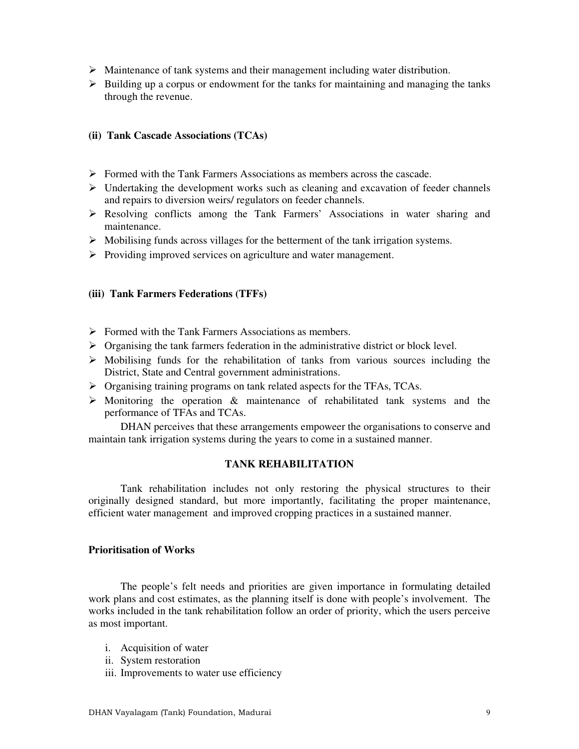- $\triangleright$  Maintenance of tank systems and their management including water distribution.
- $\triangleright$  Building up a corpus or endowment for the tanks for maintaining and managing the tanks through the revenue.

# **(ii) Tank Cascade Associations (TCAs)**

- $\triangleright$  Formed with the Tank Farmers Associations as members across the cascade.
- $\triangleright$  Undertaking the development works such as cleaning and excavation of feeder channels and repairs to diversion weirs/ regulators on feeder channels.
- Resolving conflicts among the Tank Farmers' Associations in water sharing and maintenance.
- $\triangleright$  Mobilising funds across villages for the betterment of the tank irrigation systems.
- $\triangleright$  Providing improved services on agriculture and water management.

## **(iii) Tank Farmers Federations (TFFs)**

- $\triangleright$  Formed with the Tank Farmers Associations as members.
- $\triangleright$  Organising the tank farmers federation in the administrative district or block level.
- $\triangleright$  Mobilising funds for the rehabilitation of tanks from various sources including the District, State and Central government administrations.
- Organising training programs on tank related aspects for the TFAs, TCAs.
- $\triangleright$  Monitoring the operation  $\&$  maintenance of rehabilitated tank systems and the performance of TFAs and TCAs.

DHAN perceives that these arrangements empoweer the organisations to conserve and maintain tank irrigation systems during the years to come in a sustained manner.

#### **TANK REHABILITATION**

Tank rehabilitation includes not only restoring the physical structures to their originally designed standard, but more importantly, facilitating the proper maintenance, efficient water management and improved cropping practices in a sustained manner.

#### **Prioritisation of Works**

The people's felt needs and priorities are given importance in formulating detailed work plans and cost estimates, as the planning itself is done with people's involvement. The works included in the tank rehabilitation follow an order of priority, which the users perceive as most important.

- i. Acquisition of water
- ii. System restoration
- iii. Improvements to water use efficiency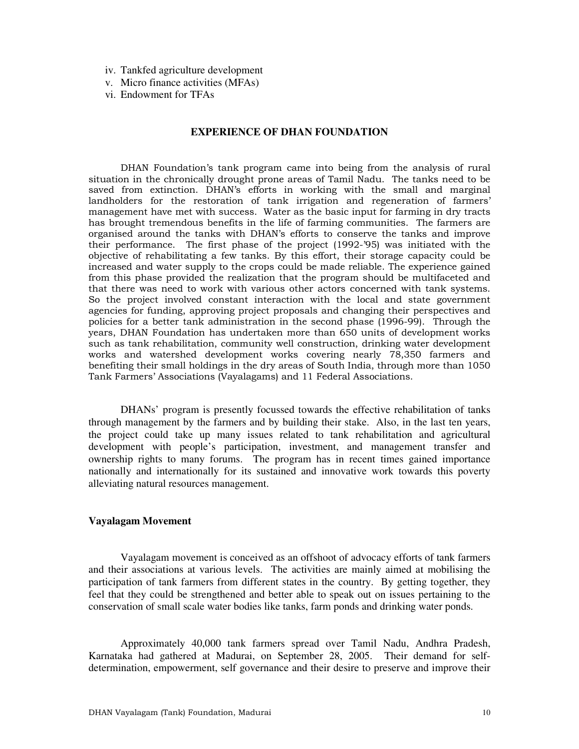- iv. Tankfed agriculture development
- v. Micro finance activities (MFAs)
- vi. Endowment for TFAs

#### **EXPERIENCE OF DHAN FOUNDATION**

DHAN Foundation's tank program came into being from the analysis of rural situation in the chronically drought prone areas of Tamil Nadu. The tanks need to be saved from extinction. DHAN's efforts in working with the small and marginal landholders for the restoration of tank irrigation and regeneration of farmers' management have met with success. Water as the basic input for farming in dry tracts has brought tremendous benefits in the life of farming communities. The farmers are organised around the tanks with DHAN's efforts to conserve the tanks and improve their performance. The first phase of the project (1992-'95) was initiated with the objective of rehabilitating a few tanks. By this effort, their storage capacity could be increased and water supply to the crops could be made reliable. The experience gained from this phase provided the realization that the program should be multifaceted and that there was need to work with various other actors concerned with tank systems. So the project involved constant interaction with the local and state government agencies for funding, approving project proposals and changing their perspectives and policies for a better tank administration in the second phase (1996-99). Through the years, DHAN Foundation has undertaken more than 650 units of development works such as tank rehabilitation, community well construction, drinking water development works and watershed development works covering nearly 78,350 farmers and benefiting their small holdings in the dry areas of South India, through more than 1050 Tank Farmers' Associations (Vayalagams) and 11 Federal Associations.

DHANs' program is presently focussed towards the effective rehabilitation of tanks through management by the farmers and by building their stake. Also, in the last ten years, the project could take up many issues related to tank rehabilitation and agricultural development with people's participation, investment, and management transfer and ownership rights to many forums. The program has in recent times gained importance nationally and internationally for its sustained and innovative work towards this poverty alleviating natural resources management.

#### **Vayalagam Movement**

Vayalagam movement is conceived as an offshoot of advocacy efforts of tank farmers and their associations at various levels. The activities are mainly aimed at mobilising the participation of tank farmers from different states in the country. By getting together, they feel that they could be strengthened and better able to speak out on issues pertaining to the conservation of small scale water bodies like tanks, farm ponds and drinking water ponds.

Approximately 40,000 tank farmers spread over Tamil Nadu, Andhra Pradesh, Karnataka had gathered at Madurai, on September 28, 2005. Their demand for selfdetermination, empowerment, self governance and their desire to preserve and improve their